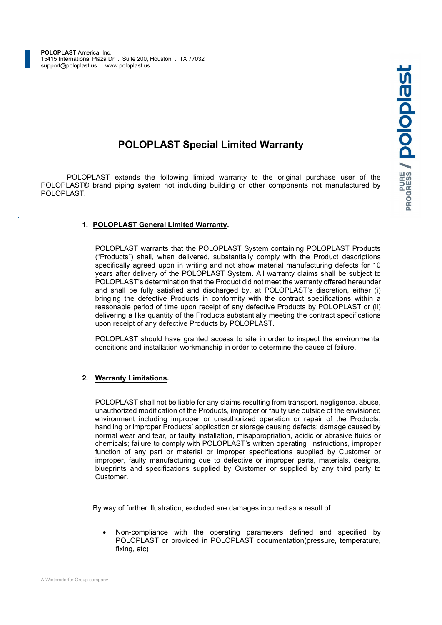# POLOPLAST Special Limited Warranty

POLOPLAST Special Limited Warranty<br>POLOPLAST extends the following limited warranty to the original purchase user of the distractors<br>LAST® brand piping system not including building or other components not manufactured by POLOPLAST® brand piping system not including building or other components not manufactured by POLOPLAST.

# 1. POLOPLAST General Limited Warranty.

POLOPLAST warrants that the POLOPLAST System containing POLOPLAST Products ("Products") shall, when delivered, substantially comply with the Product descriptions specifically agreed upon in writing and not show material manufacturing defects for 10 years after delivery of the POLOPLAST System. All warranty claims shall be subject to POLOPLAST's determination that the Product did not meet the warranty offered hereunder and shall be fully satisfied and discharged by, at POLOPLAST's discretion, either (i) bringing the defective Products in conformity with the contract specifications within a reasonable period of time upon receipt of any defective Products by POLOPLAST or (ii) delivering a like quantity of the Products substantially meeting the contract specifications upon receipt of any defective Products by POLOPLAST.

POLOPLAST should have granted access to site in order to inspect the environmental conditions and installation workmanship in order to determine the cause of failure.

#### 2. Warranty Limitations.

POLOPLAST shall not be liable for any claims resulting from transport, negligence, abuse, unauthorized modification of the Products, improper or faulty use outside of the envisioned environment including improper or unauthorized operation or repair of the Products, handling or improper Products' application or storage causing defects; damage caused by normal wear and tear, or faulty installation, misappropriation, acidic or abrasive fluids or chemicals; failure to comply with POLOPLAST's written operating instructions, improper function of any part or material or improper specifications supplied by Customer or improper, faulty manufacturing due to defective or improper parts, materials, designs, blueprints and specifications supplied by Customer or supplied by any third party to Customer.

By way of further illustration, excluded are damages incurred as a result of:

 Non-compliance with the operating parameters defined and specified by POLOPLAST or provided in POLOPLAST documentation(pressure, temperature, fixing, etc)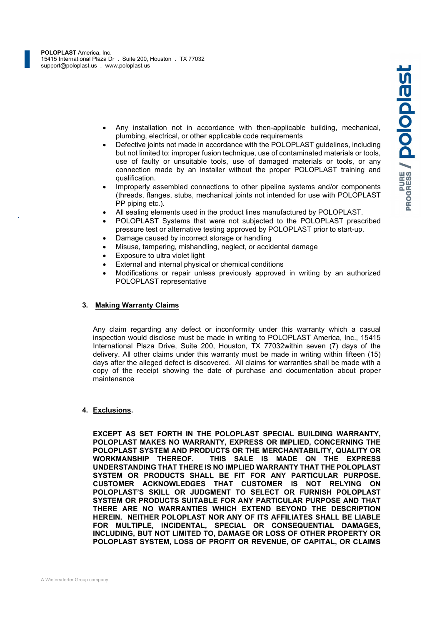- plumbing, electrical, or other applicable code requirements
- Any installation not in accordance with then-applicable building, mechanical,<br>plumbing, electrical, or other applicable code requirements<br>Defective joints not made in accordance with the POLOPLAST guidelines, including<br>but Defective joints not made in accordance with the POLOPLAST guidelines, including but not limited to: improper fusion technique, use of contaminated materials or tools, use of faulty or unsuitable tools, use of damaged materials or tools, or any connection made by an installer without the proper POLOPLAST training and qualification.
- Improperly assembled connections to other pipeline systems and/or components (threads, flanges, stubs, mechanical joints not intended for use with POLOPLAST PP piping etc.).
- All sealing elements used in the product lines manufactured by POLOPLAST.
- POLOPLAST Systems that were not subjected to the POLOPLAST prescribed pressure test or alternative testing approved by POLOPLAST prior to start-up.
- Damage caused by incorrect storage or handling
- Misuse, tampering, mishandling, neglect, or accidental damage
- Exposure to ultra violet light
- External and internal physical or chemical conditions
- Modifications or repair unless previously approved in writing by an authorized POLOPLAST representative

#### 3. Making Warranty Claims

Any claim regarding any defect or inconformity under this warranty which a casual inspection would disclose must be made in writing to POLOPLAST America, Inc., 15415 International Plaza Drive, Suite 200, Houston, TX 77032within seven (7) days of the delivery. All other claims under this warranty must be made in writing within fifteen (15) days after the alleged defect is discovered. All claims for warranties shall be made with a copy of the receipt showing the date of purchase and documentation about proper maintenance

#### 4. Exclusions.

EXCEPT AS SET FORTH IN THE POLOPLAST SPECIAL BUILDING WARRANTY, POLOPLAST MAKES NO WARRANTY, EXPRESS OR IMPLIED, CONCERNING THE POLOPLAST SYSTEM AND PRODUCTS OR THE MERCHANTABILITY, QUALITY OR WORKMANSHIP THEREOF. THIS SALE IS MADE ON THE EXPRESS UNDERSTANDING THAT THERE IS NO IMPLIED WARRANTY THAT THE POLOPLAST SYSTEM OR PRODUCTS SHALL BE FIT FOR ANY PARTICULAR PURPOSE. CUSTOMER ACKNOWLEDGES THAT CUSTOMER IS NOT RELYING ON POLOPLAST'S SKILL OR JUDGMENT TO SELECT OR FURNISH POLOPLAST SYSTEM OR PRODUCTS SUITABLE FOR ANY PARTICULAR PURPOSE AND THAT THERE ARE NO WARRANTIES WHICH EXTEND BEYOND THE DESCRIPTION HEREIN. NEITHER POLOPLAST NOR ANY OF ITS AFFILIATES SHALL BE LIABLE FOR MULTIPLE, INCIDENTAL, SPECIAL OR CONSEQUENTIAL DAMAGES, INCLUDING, BUT NOT LIMITED TO, DAMAGE OR LOSS OF OTHER PROPERTY OR POLOPLAST SYSTEM, LOSS OF PROFIT OR REVENUE, OF CAPITAL, OR CLAIMS